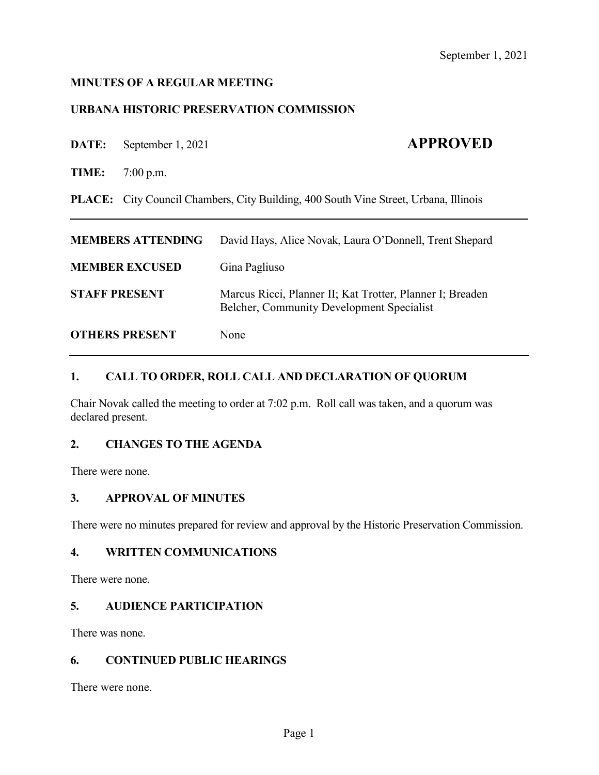## **MINUTES OF A REGULAR MEETING**

## **URBANA HISTORIC PRESERVATION COMMISSION**

**DATE:** September 1, 2021 **APPROVED** 

**TIME:** 7:00 p.m.

**PLACE:** City Council Chambers, City Building, 400 South Vine Street, Urbana, Illinois

| <b>MEMBERS ATTENDING</b> | David Hays, Alice Novak, Laura O'Donnell, Trent Shepard                                                       |
|--------------------------|---------------------------------------------------------------------------------------------------------------|
| <b>MEMBER EXCUSED</b>    | Gina Pagliuso                                                                                                 |
| <b>STAFF PRESENT</b>     | Marcus Ricci, Planner II; Kat Trotter, Planner I; Breaden<br><b>Belcher, Community Development Specialist</b> |
| <b>OTHERS PRESENT</b>    | None                                                                                                          |

## **1. CALL TO ORDER, ROLL CALL AND DECLARATION OF QUORUM**

Chair Novak called the meeting to order at 7:02 p.m. Roll call was taken, and a quorum was declared present.

## **2. CHANGES TO THE AGENDA**

There were none.

#### **3. APPROVAL OF MINUTES**

There were no minutes prepared for review and approval by the Historic Preservation Commission.

#### **4. WRITTEN COMMUNICATIONS**

There were none.

# **5. AUDIENCE PARTICIPATION**

There was none.

#### **6. CONTINUED PUBLIC HEARINGS**

There were none.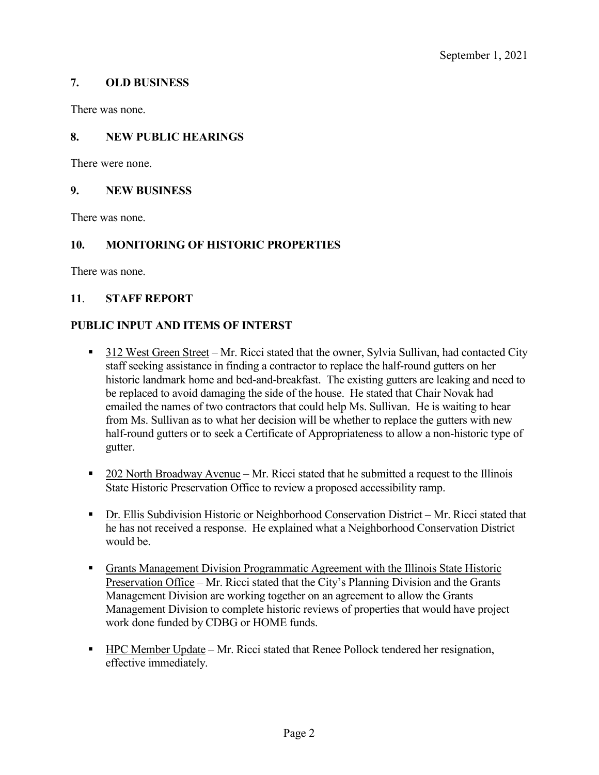## **7. OLD BUSINESS**

There was none.

## **8. NEW PUBLIC HEARINGS**

There were none.

#### **9. NEW BUSINESS**

There was none.

## **10. MONITORING OF HISTORIC PROPERTIES**

There was none.

## **11**. **STAFF REPORT**

## **PUBLIC INPUT AND ITEMS OF INTERST**

- 312 West Green Street Mr. Ricci stated that the owner, Sylvia Sullivan, had contacted City staff seeking assistance in finding a contractor to replace the half-round gutters on her historic landmark home and bed-and-breakfast. The existing gutters are leaking and need to be replaced to avoid damaging the side of the house. He stated that Chair Novak had emailed the names of two contractors that could help Ms. Sullivan. He is waiting to hear from Ms. Sullivan as to what her decision will be whether to replace the gutters with new half-round gutters or to seek a Certificate of Appropriateness to allow a non-historic type of gutter.
- 202 North Broadway Avenue Mr. Ricci stated that he submitted a request to the Illinois State Historic Preservation Office to review a proposed accessibility ramp.
- Dr. Ellis Subdivision Historic or Neighborhood Conservation District Mr. Ricci stated that he has not received a response. He explained what a Neighborhood Conservation District would be.
- **Grants Management Division Programmatic Agreement with the Illinois State Historic** Preservation Office – Mr. Ricci stated that the City's Planning Division and the Grants Management Division are working together on an agreement to allow the Grants Management Division to complete historic reviews of properties that would have project work done funded by CDBG or HOME funds.
- HPC Member Update Mr. Ricci stated that Renee Pollock tendered her resignation, effective immediately.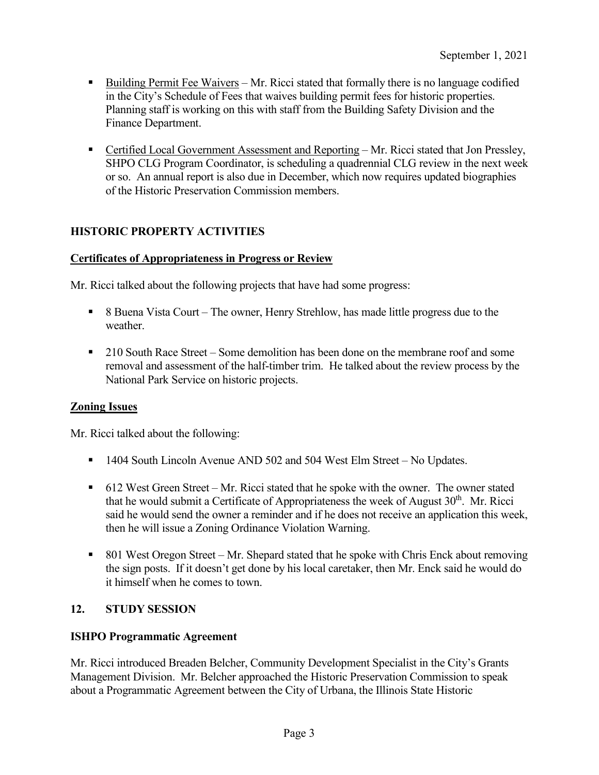- Building Permit Fee Waivers Mr. Ricci stated that formally there is no language codified in the City's Schedule of Fees that waives building permit fees for historic properties. Planning staff is working on this with staff from the Building Safety Division and the Finance Department.
- Certified Local Government Assessment and Reporting Mr. Ricci stated that Jon Pressley, SHPO CLG Program Coordinator, is scheduling a quadrennial CLG review in the next week or so. An annual report is also due in December, which now requires updated biographies of the Historic Preservation Commission members.

# **HISTORIC PROPERTY ACTIVITIES**

# **Certificates of Appropriateness in Progress or Review**

Mr. Ricci talked about the following projects that have had some progress:

- 8 Buena Vista Court The owner, Henry Strehlow, has made little progress due to the weather.
- 210 South Race Street Some demolition has been done on the membrane roof and some removal and assessment of the half-timber trim. He talked about the review process by the National Park Service on historic projects.

# **Zoning Issues**

Mr. Ricci talked about the following:

- 1404 South Lincoln Avenue AND 502 and 504 West Elm Street No Updates.
- 612 West Green Street Mr. Ricci stated that he spoke with the owner. The owner stated that he would submit a Certificate of Appropriateness the week of August  $30<sup>th</sup>$ . Mr. Ricci said he would send the owner a reminder and if he does not receive an application this week, then he will issue a Zoning Ordinance Violation Warning.
- 801 West Oregon Street Mr. Shepard stated that he spoke with Chris Enck about removing the sign posts. If it doesn't get done by his local caretaker, then Mr. Enck said he would do it himself when he comes to town.

# **12. STUDY SESSION**

#### **ISHPO Programmatic Agreement**

Mr. Ricci introduced Breaden Belcher, Community Development Specialist in the City's Grants Management Division. Mr. Belcher approached the Historic Preservation Commission to speak about a Programmatic Agreement between the City of Urbana, the Illinois State Historic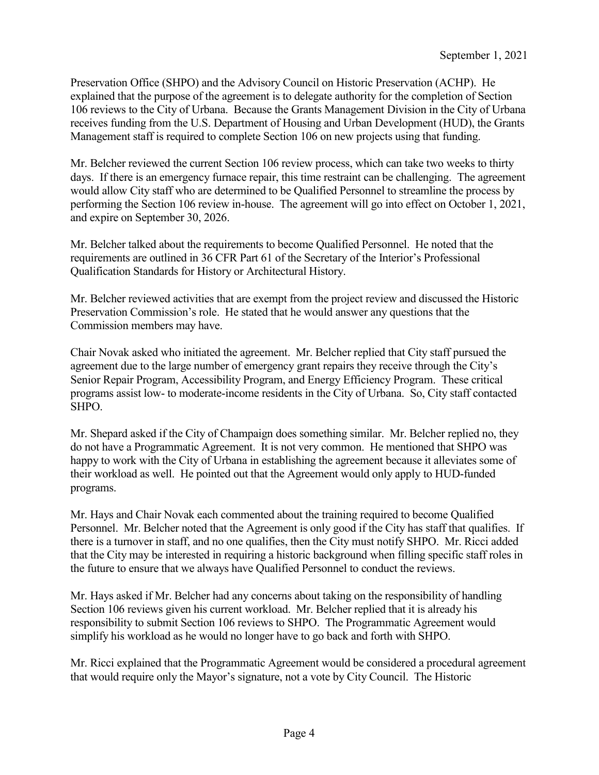Preservation Office (SHPO) and the Advisory Council on Historic Preservation (ACHP). He explained that the purpose of the agreement is to delegate authority for the completion of Section 106 reviews to the City of Urbana. Because the Grants Management Division in the City of Urbana receives funding from the U.S. Department of Housing and Urban Development (HUD), the Grants Management staff is required to complete Section 106 on new projects using that funding.

Mr. Belcher reviewed the current Section 106 review process, which can take two weeks to thirty days. If there is an emergency furnace repair, this time restraint can be challenging. The agreement would allow City staff who are determined to be Qualified Personnel to streamline the process by performing the Section 106 review in-house. The agreement will go into effect on October 1, 2021, and expire on September 30, 2026.

Mr. Belcher talked about the requirements to become Qualified Personnel. He noted that the requirements are outlined in 36 CFR Part 61 of the Secretary of the Interior's Professional Qualification Standards for History or Architectural History.

Mr. Belcher reviewed activities that are exempt from the project review and discussed the Historic Preservation Commission's role. He stated that he would answer any questions that the Commission members may have.

Chair Novak asked who initiated the agreement. Mr. Belcher replied that City staff pursued the agreement due to the large number of emergency grant repairs they receive through the City's Senior Repair Program, Accessibility Program, and Energy Efficiency Program. These critical programs assist low- to moderate-income residents in the City of Urbana. So, City staff contacted SHPO.

Mr. Shepard asked if the City of Champaign does something similar. Mr. Belcher replied no, they do not have a Programmatic Agreement. It is not very common. He mentioned that SHPO was happy to work with the City of Urbana in establishing the agreement because it alleviates some of their workload as well. He pointed out that the Agreement would only apply to HUD-funded programs.

Mr. Hays and Chair Novak each commented about the training required to become Qualified Personnel. Mr. Belcher noted that the Agreement is only good if the City has staff that qualifies. If there is a turnover in staff, and no one qualifies, then the City must notify SHPO. Mr. Ricci added that the City may be interested in requiring a historic background when filling specific staff roles in the future to ensure that we always have Qualified Personnel to conduct the reviews.

Mr. Hays asked if Mr. Belcher had any concerns about taking on the responsibility of handling Section 106 reviews given his current workload. Mr. Belcher replied that it is already his responsibility to submit Section 106 reviews to SHPO. The Programmatic Agreement would simplify his workload as he would no longer have to go back and forth with SHPO.

Mr. Ricci explained that the Programmatic Agreement would be considered a procedural agreement that would require only the Mayor's signature, not a vote by City Council. The Historic